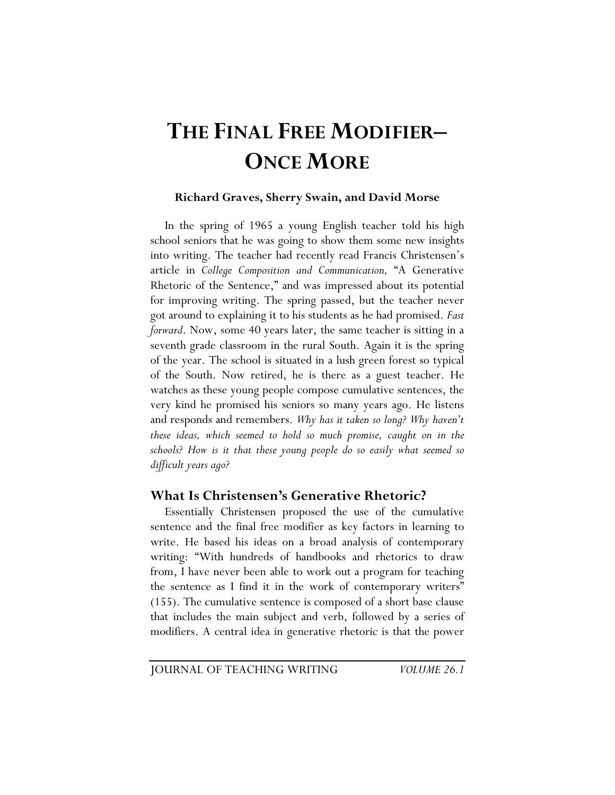# **THE FINAL FREE MODIFIER– ONCE MORE**

### **Richard Graves, Sherry Swain, and David Morse**

In the spring of 1965 a young English teacher told his high school seniors that he was going to show them some new insights into writing. The teacher had recently read Francis Christensen's article in *College Composition and Communication,* "A Generative Rhetoric of the Sentence," and was impressed about its potential for improving writing. The spring passed, but the teacher never got around to explaining it to his students as he had promised. *Fast forward*. Now, some 40 years later, the same teacher is sitting in a seventh grade classroom in the rural South. Again it is the spring of the year. The school is situated in a lush green forest so typical of the South. Now retired, he is there as a guest teacher. He watches as these young people compose cumulative sentences, the very kind he promised his seniors so many years ago. He listens and responds and remembers. *Why has it taken so long? Why haven't these ideas, which seemed to hold so much promise, caught on in the schools? How is it that these young people do so easily what seemed so difficult years ago?* 

### **What Is Christensen's Generative Rhetoric?**

Essentially Christensen proposed the use of the cumulative sentence and the final free modifier as key factors in learning to write. He based his ideas on a broad analysis of contemporary writing: "With hundreds of handbooks and rhetorics to draw from, I have never been able to work out a program for teaching the sentence as I find it in the work of contemporary writers" (155). The cumulative sentence is composed of a short base clause that includes the main subject and verb, followed by a series of modifiers. A central idea in generative rhetoric is that the power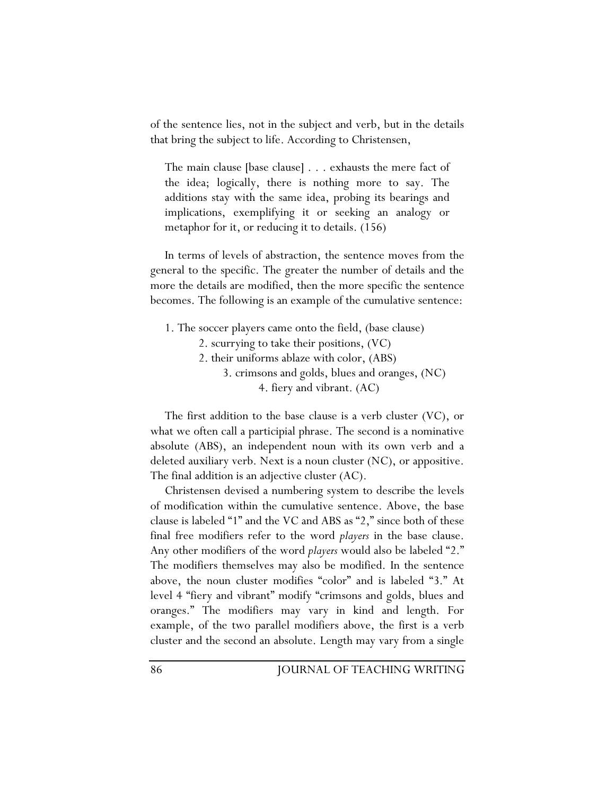of the sentence lies, not in the subject and verb, but in the details that bring the subject to life. According to Christensen,

The main clause [base clause] . . . exhausts the mere fact of the idea; logically, there is nothing more to say. The additions stay with the same idea, probing its bearings and implications, exemplifying it or seeking an analogy or metaphor for it, or reducing it to details. (156)

In terms of levels of abstraction, the sentence moves from the general to the specific. The greater the number of details and the more the details are modified, then the more specific the sentence becomes. The following is an example of the cumulative sentence:

- 1. The soccer players came onto the field, (base clause)
	- 2. scurrying to take their positions, (VC)
	- 2. their uniforms ablaze with color, (ABS)
		- 3. crimsons and golds, blues and oranges, (NC) 4. fiery and vibrant. (AC)

The first addition to the base clause is a verb cluster (VC), or what we often call a participial phrase. The second is a nominative absolute (ABS), an independent noun with its own verb and a deleted auxiliary verb. Next is a noun cluster (NC), or appositive. The final addition is an adjective cluster (AC).

Christensen devised a numbering system to describe the levels of modification within the cumulative sentence. Above, the base clause is labeled "1" and the VC and ABS as "2," since both of these final free modifiers refer to the word *players* in the base clause. Any other modifiers of the word *players* would also be labeled "2." The modifiers themselves may also be modified. In the sentence above, the noun cluster modifies "color" and is labeled "3." At level 4 "fiery and vibrant" modify "crimsons and golds, blues and oranges." The modifiers may vary in kind and length. For example, of the two parallel modifiers above, the first is a verb cluster and the second an absolute. Length may vary from a single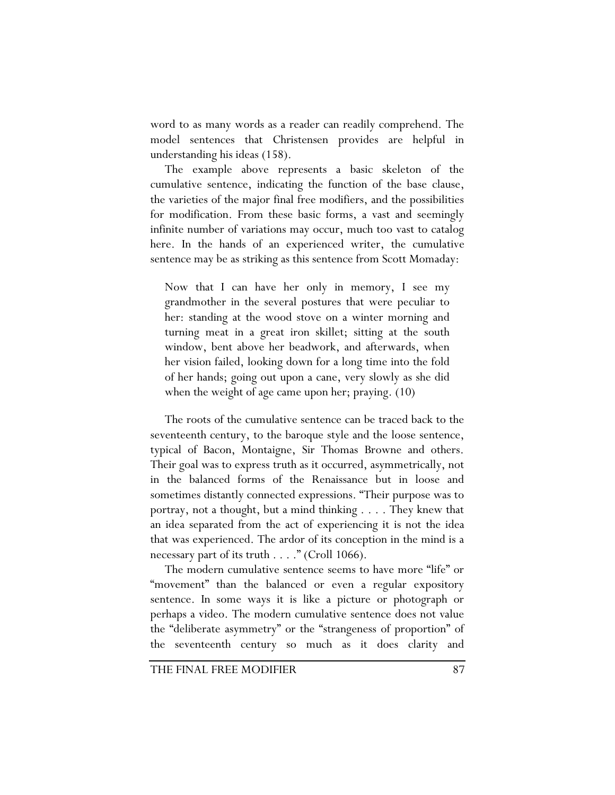word to as many words as a reader can readily comprehend. The model sentences that Christensen provides are helpful in understanding his ideas (158).

The example above represents a basic skeleton of the cumulative sentence, indicating the function of the base clause, the varieties of the major final free modifiers, and the possibilities for modification. From these basic forms, a vast and seemingly infinite number of variations may occur, much too vast to catalog here. In the hands of an experienced writer, the cumulative sentence may be as striking as this sentence from Scott Momaday:

Now that I can have her only in memory, I see my grandmother in the several postures that were peculiar to her: standing at the wood stove on a winter morning and turning meat in a great iron skillet; sitting at the south window, bent above her beadwork, and afterwards, when her vision failed, looking down for a long time into the fold of her hands; going out upon a cane, very slowly as she did when the weight of age came upon her; praying. (10)

The roots of the cumulative sentence can be traced back to the seventeenth century, to the baroque style and the loose sentence, typical of Bacon, Montaigne, Sir Thomas Browne and others. Their goal was to express truth as it occurred, asymmetrically, not in the balanced forms of the Renaissance but in loose and sometimes distantly connected expressions. "Their purpose was to portray, not a thought, but a mind thinking . . . . They knew that an idea separated from the act of experiencing it is not the idea that was experienced. The ardor of its conception in the mind is a necessary part of its truth . . . ." (Croll 1066).

The modern cumulative sentence seems to have more "life" or "movement" than the balanced or even a regular expository sentence. In some ways it is like a picture or photograph or perhaps a video. The modern cumulative sentence does not value the "deliberate asymmetry" or the "strangeness of proportion" of the seventeenth century so much as it does clarity and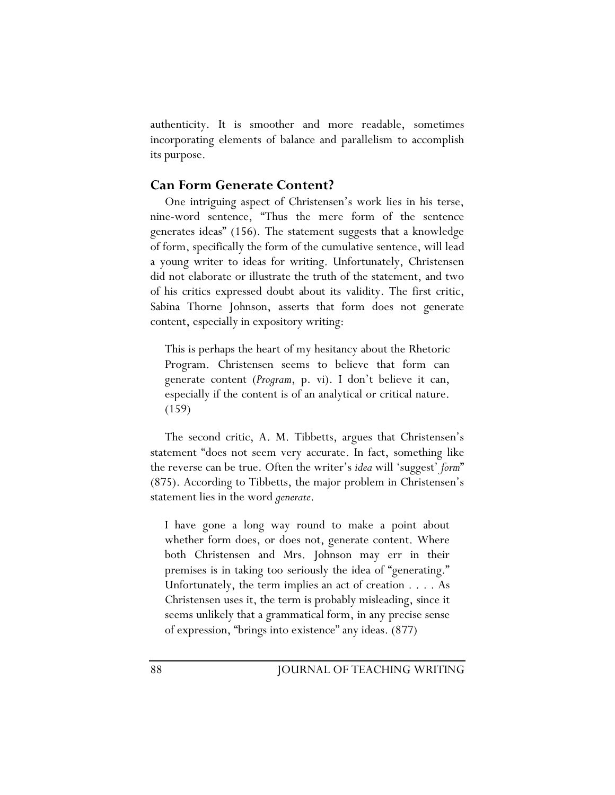authenticity. It is smoother and more readable, sometimes incorporating elements of balance and parallelism to accomplish its purpose.

### **Can Form Generate Content?**

One intriguing aspect of Christensen's work lies in his terse, nine-word sentence, "Thus the mere form of the sentence generates ideas" (156). The statement suggests that a knowledge of form, specifically the form of the cumulative sentence, will lead a young writer to ideas for writing. Unfortunately, Christensen did not elaborate or illustrate the truth of the statement, and two of his critics expressed doubt about its validity. The first critic, Sabina Thorne Johnson, asserts that form does not generate content, especially in expository writing:

This is perhaps the heart of my hesitancy about the Rhetoric Program. Christensen seems to believe that form can generate content (*Program*, p. vi). I don't believe it can, especially if the content is of an analytical or critical nature. (159)

The second critic, A. M. Tibbetts, argues that Christensen's statement "does not seem very accurate. In fact, something like the reverse can be true. Often the writer's *idea* will 'suggest' *form*" (875). According to Tibbetts, the major problem in Christensen's statement lies in the word *generate*.

I have gone a long way round to make a point about whether form does, or does not, generate content. Where both Christensen and Mrs. Johnson may err in their premises is in taking too seriously the idea of "generating." Unfortunately, the term implies an act of creation . . . . As Christensen uses it, the term is probably misleading, since it seems unlikely that a grammatical form, in any precise sense of expression, "brings into existence" any ideas. (877)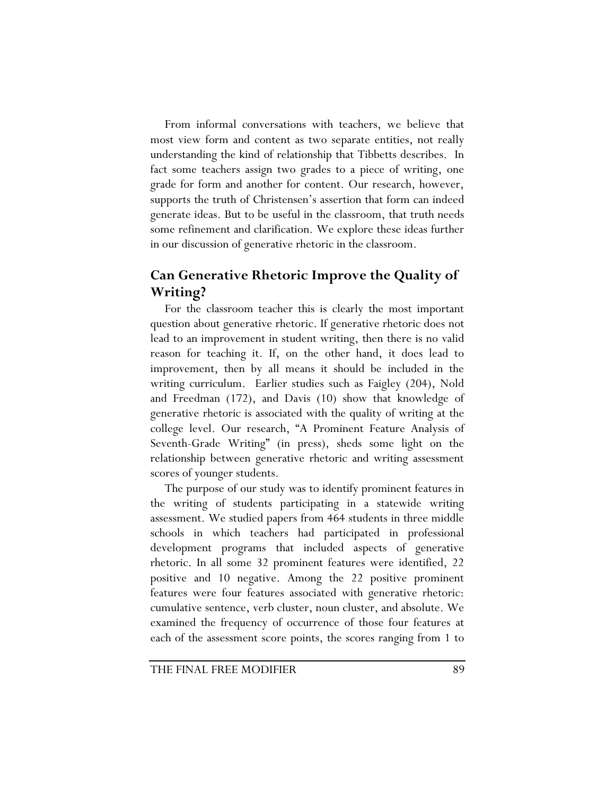From informal conversations with teachers, we believe that most view form and content as two separate entities, not really understanding the kind of relationship that Tibbetts describes. In fact some teachers assign two grades to a piece of writing, one grade for form and another for content. Our research, however, supports the truth of Christensen's assertion that form can indeed generate ideas. But to be useful in the classroom, that truth needs some refinement and clarification. We explore these ideas further in our discussion of generative rhetoric in the classroom.

# **Can Generative Rhetoric Improve the Quality of Writing?**

For the classroom teacher this is clearly the most important question about generative rhetoric. If generative rhetoric does not lead to an improvement in student writing, then there is no valid reason for teaching it. If, on the other hand, it does lead to improvement, then by all means it should be included in the writing curriculum. Earlier studies such as Faigley (204), Nold and Freedman (172), and Davis (10) show that knowledge of generative rhetoric is associated with the quality of writing at the college level. Our research, "A Prominent Feature Analysis of Seventh-Grade Writing" (in press), sheds some light on the relationship between generative rhetoric and writing assessment scores of younger students.

The purpose of our study was to identify prominent features in the writing of students participating in a statewide writing assessment. We studied papers from 464 students in three middle schools in which teachers had participated in professional development programs that included aspects of generative rhetoric. In all some 32 prominent features were identified, 22 positive and 10 negative. Among the 22 positive prominent features were four features associated with generative rhetoric: cumulative sentence, verb cluster, noun cluster, and absolute. We examined the frequency of occurrence of those four features at each of the assessment score points, the scores ranging from 1 to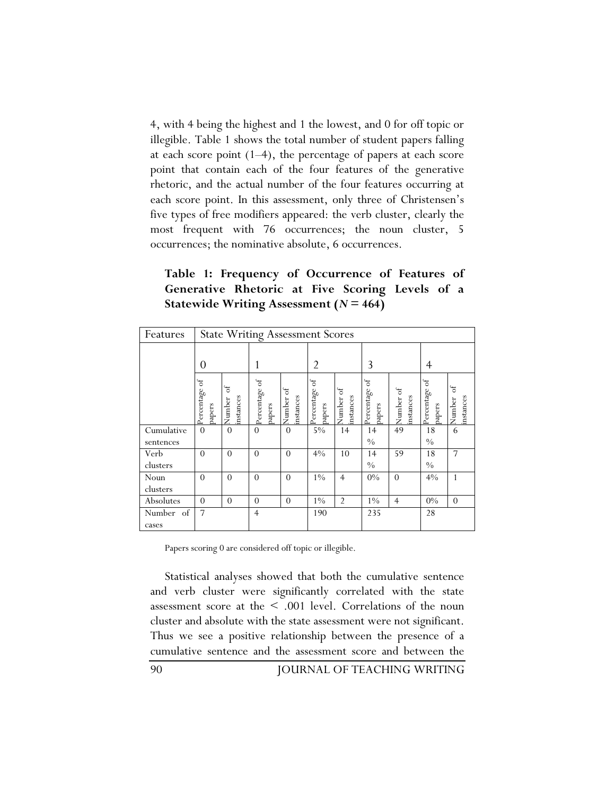4, with 4 being the highest and 1 the lowest, and 0 for off topic or illegible. Table 1 shows the total number of student papers falling at each score point  $(1-4)$ , the percentage of papers at each score point that contain each of the four features of the generative rhetoric, and the actual number of the four features occurring at each score point. In this assessment, only three of Christensen's five types of free modifiers appeared: the verb cluster, clearly the most frequent with 76 occurrences; the noun cluster, 5 occurrences; the nominative absolute, 6 occurrences.

**Table 1: Frequency of Occurrence of Features of Generative Rhetoric at Five Scoring Levels of a Statewide Writing Assessment (***N* **= 464)** 

| Features                |                           |                           | <b>State Writing Assessment Scores</b> |                                   |                                        |                                 |                                     |                        |                           |                          |
|-------------------------|---------------------------|---------------------------|----------------------------------------|-----------------------------------|----------------------------------------|---------------------------------|-------------------------------------|------------------------|---------------------------|--------------------------|
|                         | $\theta$                  |                           |                                        |                                   | 2                                      |                                 | 3                                   |                        | 4                         |                          |
|                         | ್<br>Percentage<br>papers | ್ರ<br>instances<br>Number | $\sigma$<br>Percentage<br>papers       | $\rm ^{6}$<br>instances<br>Number | $\mathfrak{b}$<br>Percentage<br>papers | $\sigma$<br>instances<br>Number | $_{\rm of}$<br>Percentage<br>papers | Number of<br>instances | ð<br>Percentage<br>papers | ್<br>instances<br>Number |
| Cumulative<br>sentences | $\theta$                  | $\theta$                  | $\Omega$                               | $\Omega$                          | $5\%$                                  | 14                              | 14<br>$\frac{0}{0}$                 | 49                     | 18<br>$\frac{0}{0}$       | 6                        |
| Verb<br>clusters        | $\Omega$                  | $\Omega$                  | $\Omega$                               | $\Omega$                          | $4\%$                                  | 10                              | 14<br>$\frac{0}{0}$                 | 59                     | 18<br>$\frac{0}{0}$       | 7                        |
| Noun<br>clusters        | $\theta$                  | $\theta$                  | $\theta$                               | $\Omega$                          | $1\%$                                  | $\overline{4}$                  | $0\%$                               | $\theta$               | 4%                        | $\mathbf{1}$             |
| Absolutes               | $\theta$                  | $\Omega$                  | $\theta$                               | $\Omega$                          | $1\%$                                  | $\overline{2}$                  | $1\%$                               | $\overline{4}$         | $0\%$                     | $\Omega$                 |
| Number of<br>cases      | $\overline{7}$            |                           | $\overline{4}$                         |                                   | 190                                    |                                 | 235                                 |                        | 28                        |                          |

Papers scoring 0 are considered off topic or illegible.

Statistical analyses showed that both the cumulative sentence and verb cluster were significantly correlated with the state assessment score at the < .001 level. Correlations of the noun cluster and absolute with the state assessment were not significant. Thus we see a positive relationship between the presence of a cumulative sentence and the assessment score and between the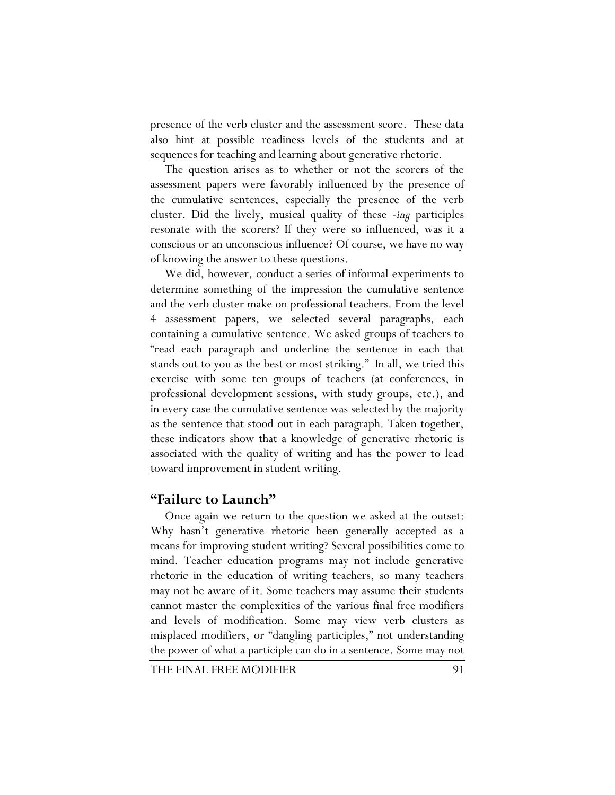presence of the verb cluster and the assessment score. These data also hint at possible readiness levels of the students and at sequences for teaching and learning about generative rhetoric.

The question arises as to whether or not the scorers of the assessment papers were favorably influenced by the presence of the cumulative sentences, especially the presence of the verb cluster. Did the lively, musical quality of these *-ing* participles resonate with the scorers? If they were so influenced, was it a conscious or an unconscious influence? Of course, we have no way of knowing the answer to these questions.

We did, however, conduct a series of informal experiments to determine something of the impression the cumulative sentence and the verb cluster make on professional teachers. From the level 4 assessment papers, we selected several paragraphs, each containing a cumulative sentence. We asked groups of teachers to "read each paragraph and underline the sentence in each that stands out to you as the best or most striking." In all, we tried this exercise with some ten groups of teachers (at conferences, in professional development sessions, with study groups, etc.), and in every case the cumulative sentence was selected by the majority as the sentence that stood out in each paragraph. Taken together, these indicators show that a knowledge of generative rhetoric is associated with the quality of writing and has the power to lead toward improvement in student writing.

### **"Failure to Launch"**

Once again we return to the question we asked at the outset: Why hasn't generative rhetoric been generally accepted as a means for improving student writing? Several possibilities come to mind. Teacher education programs may not include generative rhetoric in the education of writing teachers, so many teachers may not be aware of it. Some teachers may assume their students cannot master the complexities of the various final free modifiers and levels of modification. Some may view verb clusters as misplaced modifiers, or "dangling participles," not understanding the power of what a participle can do in a sentence. Some may not

THE FINAL FREE MODIFIER 91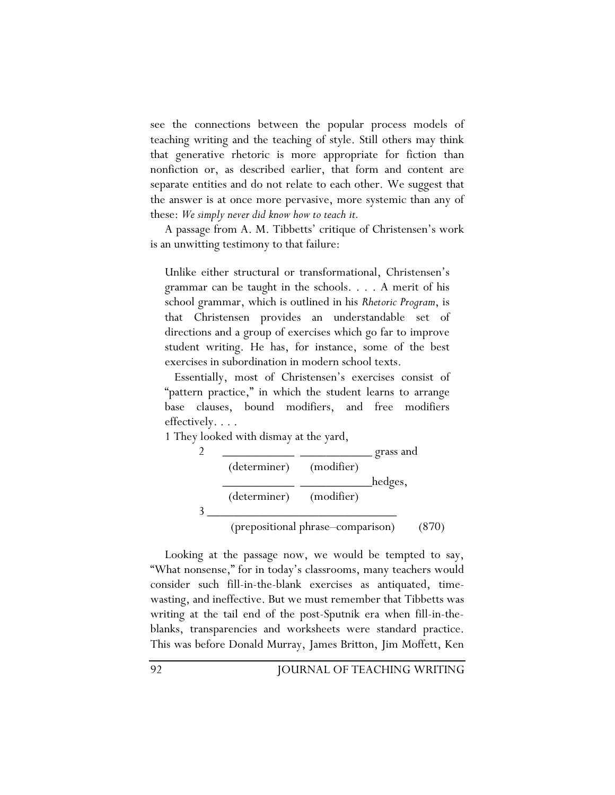see the connections between the popular process models of teaching writing and the teaching of style. Still others may think that generative rhetoric is more appropriate for fiction than nonfiction or, as described earlier, that form and content are separate entities and do not relate to each other. We suggest that the answer is at once more pervasive, more systemic than any of these: *We simply never did know how to teach it.* 

A passage from A. M. Tibbetts' critique of Christensen's work is an unwitting testimony to that failure:

Unlike either structural or transformational, Christensen's grammar can be taught in the schools. . . . A merit of his school grammar, which is outlined in his *Rhetoric Program*, is that Christensen provides an understandable set of directions and a group of exercises which go far to improve student writing. He has, for instance, some of the best exercises in subordination in modern school texts.

 Essentially, most of Christensen's exercises consist of "pattern practice," in which the student learns to arrange base clauses, bound modifiers, and free modifiers effectively. . . .

1 They looked with dismay at the yard,

| (determiner) (modifier) |                         |         |
|-------------------------|-------------------------|---------|
|                         |                         |         |
|                         |                         | hedges, |
|                         | (determiner) (modifier) |         |
|                         |                         |         |

Looking at the passage now, we would be tempted to say, "What nonsense," for in today's classrooms, many teachers would consider such fill-in-the-blank exercises as antiquated, timewasting, and ineffective. But we must remember that Tibbetts was writing at the tail end of the post-Sputnik era when fill-in-theblanks, transparencies and worksheets were standard practice. This was before Donald Murray, James Britton, Jim Moffett, Ken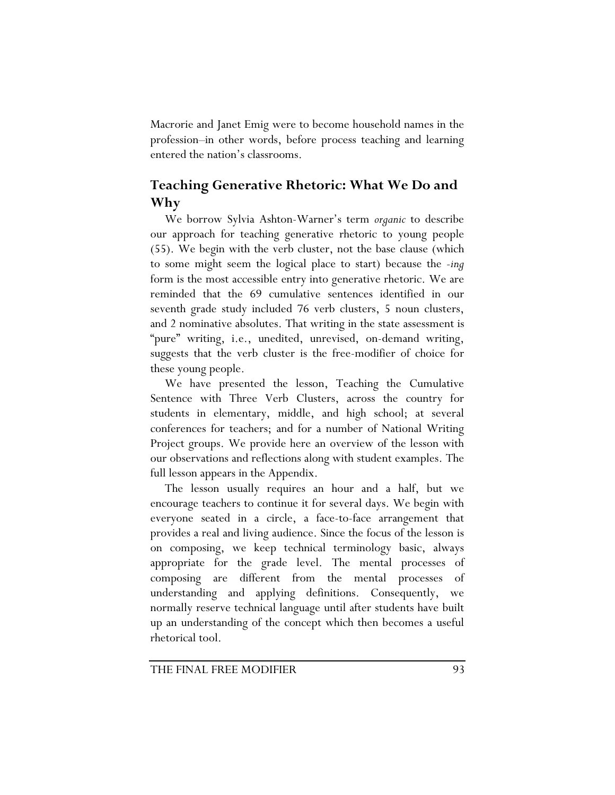Macrorie and Janet Emig were to become household names in the profession–in other words, before process teaching and learning entered the nation's classrooms.

# **Teaching Generative Rhetoric: What We Do and Why**

We borrow Sylvia Ashton-Warner's term *organic* to describe our approach for teaching generative rhetoric to young people (55). We begin with the verb cluster, not the base clause (which to some might seem the logical place to start) because the *-ing* form is the most accessible entry into generative rhetoric. We are reminded that the 69 cumulative sentences identified in our seventh grade study included 76 verb clusters, 5 noun clusters, and 2 nominative absolutes. That writing in the state assessment is "pure" writing, i.e., unedited, unrevised, on-demand writing, suggests that the verb cluster is the free-modifier of choice for these young people.

We have presented the lesson, Teaching the Cumulative Sentence with Three Verb Clusters, across the country for students in elementary, middle, and high school; at several conferences for teachers; and for a number of National Writing Project groups. We provide here an overview of the lesson with our observations and reflections along with student examples. The full lesson appears in the Appendix.

The lesson usually requires an hour and a half, but we encourage teachers to continue it for several days. We begin with everyone seated in a circle, a face-to-face arrangement that provides a real and living audience. Since the focus of the lesson is on composing, we keep technical terminology basic, always appropriate for the grade level. The mental processes of composing are different from the mental processes of understanding and applying definitions. Consequently, we normally reserve technical language until after students have built up an understanding of the concept which then becomes a useful rhetorical tool.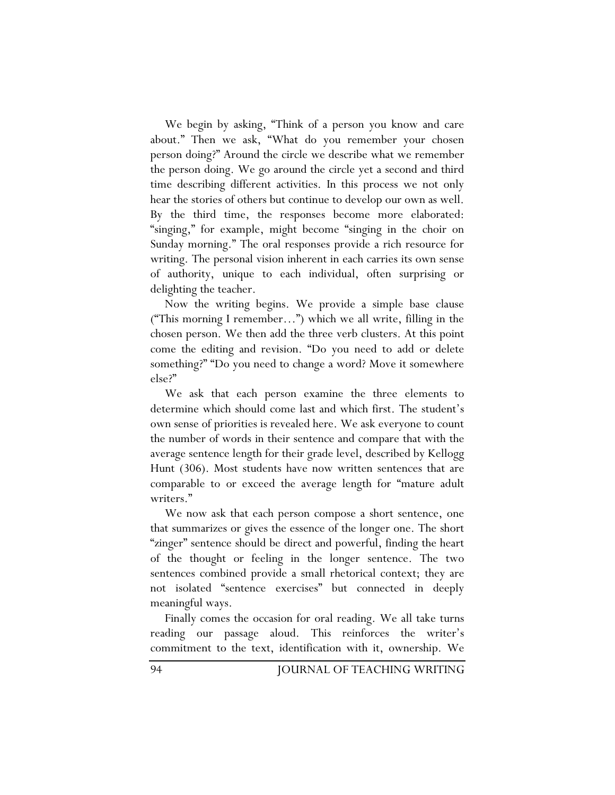We begin by asking, "Think of a person you know and care about." Then we ask, "What do you remember your chosen person doing?" Around the circle we describe what we remember the person doing. We go around the circle yet a second and third time describing different activities. In this process we not only hear the stories of others but continue to develop our own as well. By the third time, the responses become more elaborated: "singing," for example, might become "singing in the choir on Sunday morning." The oral responses provide a rich resource for writing. The personal vision inherent in each carries its own sense of authority, unique to each individual, often surprising or delighting the teacher.

Now the writing begins. We provide a simple base clause ("This morning I remember…") which we all write, filling in the chosen person. We then add the three verb clusters. At this point come the editing and revision. "Do you need to add or delete something?" "Do you need to change a word? Move it somewhere else?"

We ask that each person examine the three elements to determine which should come last and which first. The student's own sense of priorities is revealed here. We ask everyone to count the number of words in their sentence and compare that with the average sentence length for their grade level, described by Kellogg Hunt (306). Most students have now written sentences that are comparable to or exceed the average length for "mature adult writers."

We now ask that each person compose a short sentence, one that summarizes or gives the essence of the longer one. The short "zinger" sentence should be direct and powerful, finding the heart of the thought or feeling in the longer sentence. The two sentences combined provide a small rhetorical context; they are not isolated "sentence exercises" but connected in deeply meaningful ways.

Finally comes the occasion for oral reading. We all take turns reading our passage aloud. This reinforces the writer's commitment to the text, identification with it, ownership. We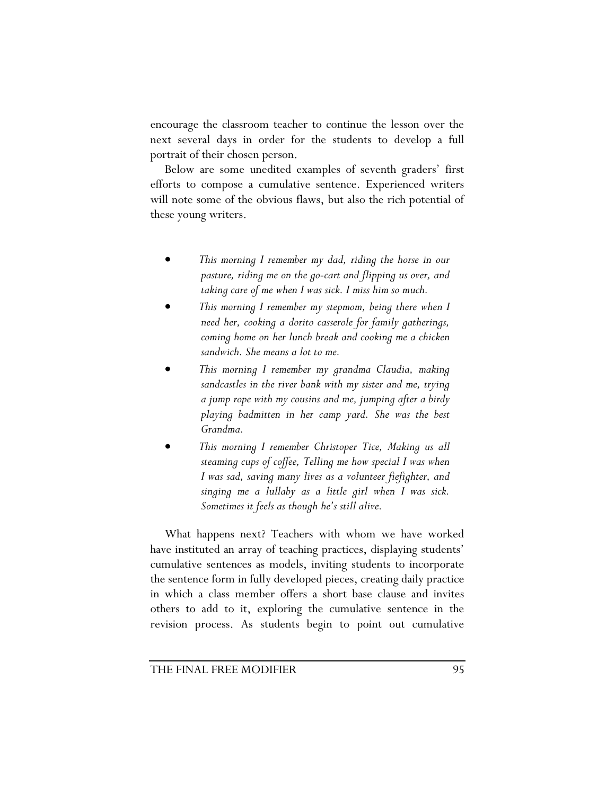encourage the classroom teacher to continue the lesson over the next several days in order for the students to develop a full portrait of their chosen person.

Below are some unedited examples of seventh graders' first efforts to compose a cumulative sentence. Experienced writers will note some of the obvious flaws, but also the rich potential of these young writers.

- *This morning I remember my dad, riding the horse in our pasture, riding me on the go-cart and flipping us over, and taking care of me when I was sick. I miss him so much.*
- *This morning I remember my stepmom, being there when I need her, cooking a dorito casserole for family gatherings, coming home on her lunch break and cooking me a chicken sandwich. She means a lot to me.*
- *This morning I remember my grandma Claudia, making sandcastles in the river bank with my sister and me, trying a jump rope with my cousins and me, jumping after a birdy playing badmitten in her camp yard. She was the best Grandma.*
- *This morning I remember Christoper Tice, Making us all steaming cups of coffee, Telling me how special I was when I was sad, saving many lives as a volunteer fiefighter, and singing me a lullaby as a little girl when I was sick. Sometimes it feels as though he's still alive.*

What happens next? Teachers with whom we have worked have instituted an array of teaching practices, displaying students' cumulative sentences as models, inviting students to incorporate the sentence form in fully developed pieces, creating daily practice in which a class member offers a short base clause and invites others to add to it, exploring the cumulative sentence in the revision process. As students begin to point out cumulative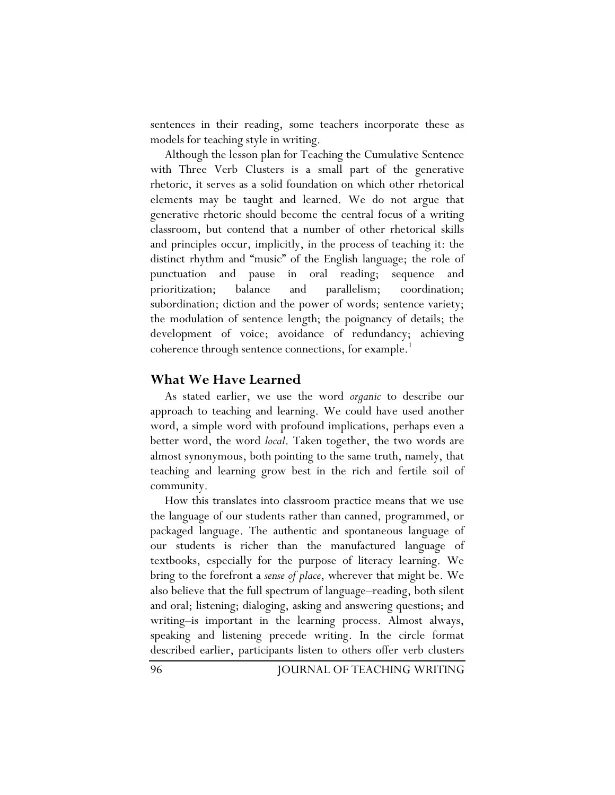sentences in their reading, some teachers incorporate these as models for teaching style in writing.

Although the lesson plan for Teaching the Cumulative Sentence with Three Verb Clusters is a small part of the generative rhetoric, it serves as a solid foundation on which other rhetorical elements may be taught and learned. We do not argue that generative rhetoric should become the central focus of a writing classroom, but contend that a number of other rhetorical skills and principles occur, implicitly, in the process of teaching it: the distinct rhythm and "music" of the English language; the role of punctuation and pause in oral reading; sequence and prioritization; balance and parallelism; coordination; subordination; diction and the power of words; sentence variety; the modulation of sentence length; the poignancy of details; the development of voice; avoidance of redundancy; achieving coherence through sentence connections, for example.<sup>1</sup>

## **What We Have Learned**

As stated earlier, we use the word *organic* to describe our approach to teaching and learning. We could have used another word, a simple word with profound implications, perhaps even a better word, the word *local*. Taken together, the two words are almost synonymous, both pointing to the same truth, namely, that teaching and learning grow best in the rich and fertile soil of community.

How this translates into classroom practice means that we use the language of our students rather than canned, programmed, or packaged language. The authentic and spontaneous language of our students is richer than the manufactured language of textbooks, especially for the purpose of literacy learning. We bring to the forefront a *sense of place*, wherever that might be. We also believe that the full spectrum of language–reading, both silent and oral; listening; dialoging, asking and answering questions; and writing–is important in the learning process. Almost always, speaking and listening precede writing. In the circle format described earlier, participants listen to others offer verb clusters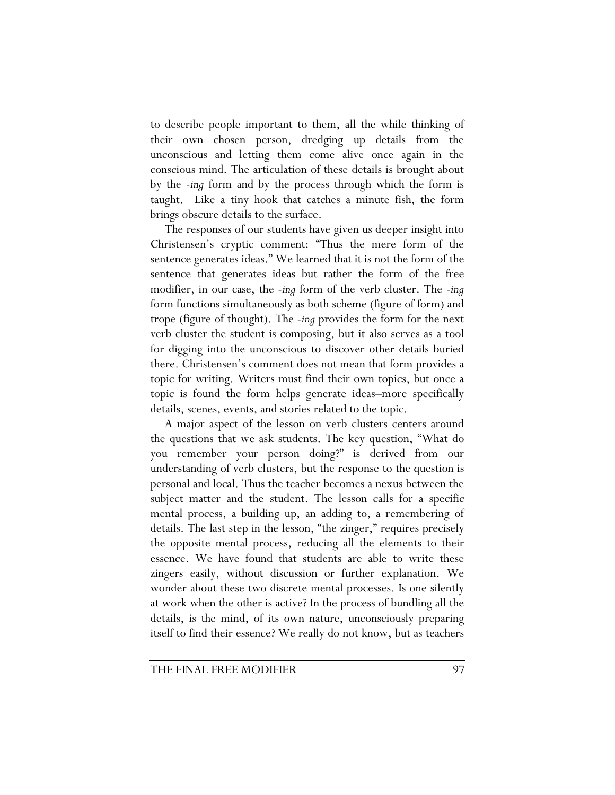to describe people important to them, all the while thinking of their own chosen person, dredging up details from the unconscious and letting them come alive once again in the conscious mind. The articulation of these details is brought about by the *-ing* form and by the process through which the form is taught. Like a tiny hook that catches a minute fish, the form brings obscure details to the surface.

The responses of our students have given us deeper insight into Christensen's cryptic comment: "Thus the mere form of the sentence generates ideas." We learned that it is not the form of the sentence that generates ideas but rather the form of the free modifier, in our case, the *-ing* form of the verb cluster. The *-ing* form functions simultaneously as both scheme (figure of form) and trope (figure of thought). The *-ing* provides the form for the next verb cluster the student is composing, but it also serves as a tool for digging into the unconscious to discover other details buried there. Christensen's comment does not mean that form provides a topic for writing. Writers must find their own topics, but once a topic is found the form helps generate ideas–more specifically details, scenes, events, and stories related to the topic.

A major aspect of the lesson on verb clusters centers around the questions that we ask students. The key question, "What do you remember your person doing?" is derived from our understanding of verb clusters, but the response to the question is personal and local. Thus the teacher becomes a nexus between the subject matter and the student. The lesson calls for a specific mental process, a building up, an adding to, a remembering of details. The last step in the lesson, "the zinger," requires precisely the opposite mental process, reducing all the elements to their essence. We have found that students are able to write these zingers easily, without discussion or further explanation. We wonder about these two discrete mental processes. Is one silently at work when the other is active? In the process of bundling all the details, is the mind, of its own nature, unconsciously preparing itself to find their essence? We really do not know, but as teachers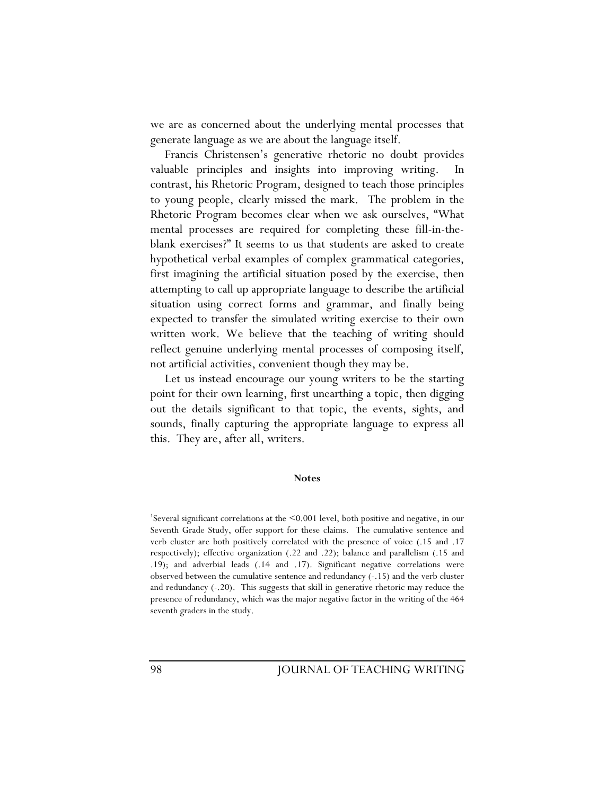we are as concerned about the underlying mental processes that generate language as we are about the language itself.

Francis Christensen's generative rhetoric no doubt provides valuable principles and insights into improving writing. In contrast, his Rhetoric Program, designed to teach those principles to young people, clearly missed the mark. The problem in the Rhetoric Program becomes clear when we ask ourselves, "What mental processes are required for completing these fill-in-theblank exercises?" It seems to us that students are asked to create hypothetical verbal examples of complex grammatical categories, first imagining the artificial situation posed by the exercise, then attempting to call up appropriate language to describe the artificial situation using correct forms and grammar, and finally being expected to transfer the simulated writing exercise to their own written work. We believe that the teaching of writing should reflect genuine underlying mental processes of composing itself, not artificial activities, convenient though they may be.

Let us instead encourage our young writers to be the starting point for their own learning, first unearthing a topic, then digging out the details significant to that topic, the events, sights, and sounds, finally capturing the appropriate language to express all this. They are, after all, writers.

#### **Notes**

1 Several significant correlations at the <0.001 level, both positive and negative, in our Seventh Grade Study, offer support for these claims. The cumulative sentence and verb cluster are both positively correlated with the presence of voice (.15 and .17 respectively); effective organization (.22 and .22); balance and parallelism (.15 and .19); and adverbial leads (.14 and .17). Significant negative correlations were observed between the cumulative sentence and redundancy (-.15) and the verb cluster and redundancy (-.20). This suggests that skill in generative rhetoric may reduce the presence of redundancy, which was the major negative factor in the writing of the 464 seventh graders in the study.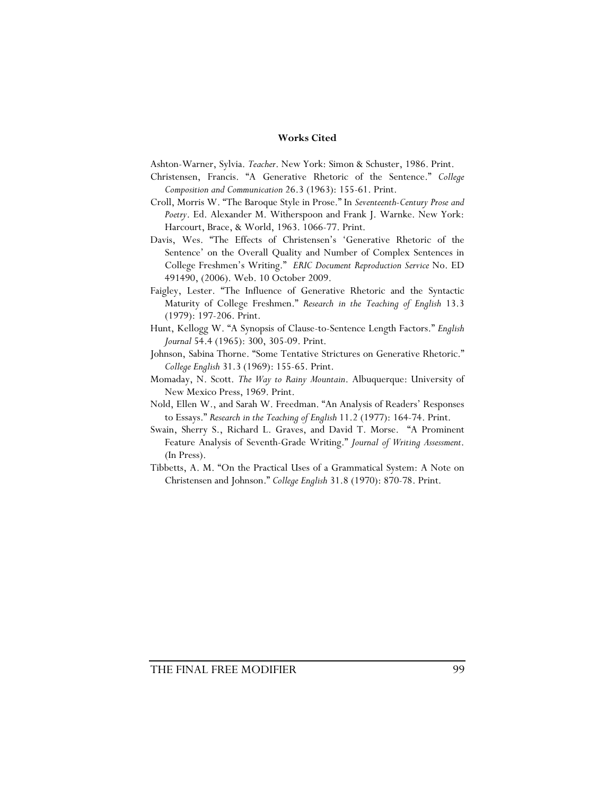### **Works Cited**

Ashton-Warner, Sylvia. *Teacher*. New York: Simon & Schuster, 1986. Print.

- Christensen, Francis. "A Generative Rhetoric of the Sentence." *College Composition and Communication* 26.3 (1963): 155-61. Print.
- Croll, Morris W. "The Baroque Style in Prose." In *Seventeenth-Century Prose and Poetry*. Ed. Alexander M. Witherspoon and Frank J. Warnke. New York: Harcourt, Brace, & World, 1963. 1066-77. Print.
- Davis, Wes. "The Effects of Christensen's 'Generative Rhetoric of the Sentence' on the Overall Quality and Number of Complex Sentences in College Freshmen's Writing." *ERIC Document Reproduction Service* No. ED 491490, (2006). Web. 10 October 2009.
- Faigley, Lester. "The Influence of Generative Rhetoric and the Syntactic Maturity of College Freshmen." *Research in the Teaching of English* 13.3 (1979): 197-206. Print.
- Hunt, Kellogg W. "A Synopsis of Clause-to-Sentence Length Factors." *English Journal* 54.4 (1965): 300, 305-09. Print.
- Johnson, Sabina Thorne. "Some Tentative Strictures on Generative Rhetoric." *College English* 31.3 (1969): 155-65. Print.
- Momaday, N. Scott. *The Way to Rainy Mountain*. Albuquerque: University of New Mexico Press, 1969. Print.
- Nold, Ellen W., and Sarah W. Freedman. "An Analysis of Readers' Responses to Essays." *Research in the Teaching of English* 11.2 (1977): 164-74. Print.
- Swain, Sherry S., Richard L. Graves, and David T. Morse. "A Prominent Feature Analysis of Seventh-Grade Writing." *Journal of Writing Assessment*. (In Press).
- Tibbetts, A. M. "On the Practical Uses of a Grammatical System: A Note on Christensen and Johnson." *College English* 31.8 (1970): 870-78. Print.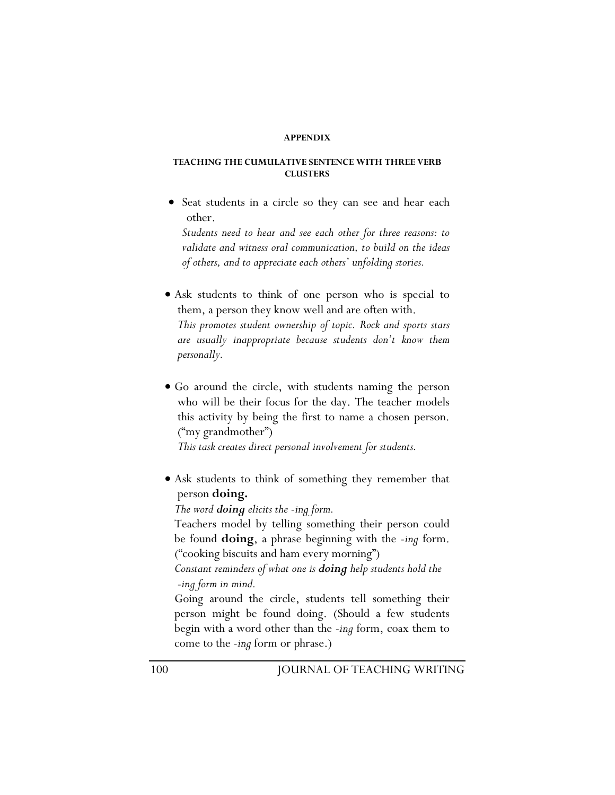#### **APPENDIX**

### **TEACHING THE CUMULATIVE SENTENCE WITH THREE VERB CLUSTERS**

• Seat students in a circle so they can see and hear each other.

*Students need to hear and see each other for three reasons: to validate and witness oral communication, to build on the ideas of others, and to appreciate each others' unfolding stories.* 

- Ask students to think of one person who is special to them, a person they know well and are often with. *This promotes student ownership of topic. Rock and sports stars are usually inappropriate because students don't know them personally.*
- Go around the circle, with students naming the person who will be their focus for the day. The teacher models this activity by being the first to name a chosen person. ("my grandmother")

 *This task creates direct personal involvement for students.* 

• Ask students to think of something they remember that person **doing.**

 *The word doing elicits the -ing form.* 

Teachers model by telling something their person could be found **doing**, a phrase beginning with the *-ing* form. ("cooking biscuits and ham every morning")

*Constant reminders of what one is doing help students hold the -ing form in mind.* 

Going around the circle, students tell something their person might be found doing. (Should a few students begin with a word other than the *-ing* form, coax them to come to the *-ing* form or phrase.)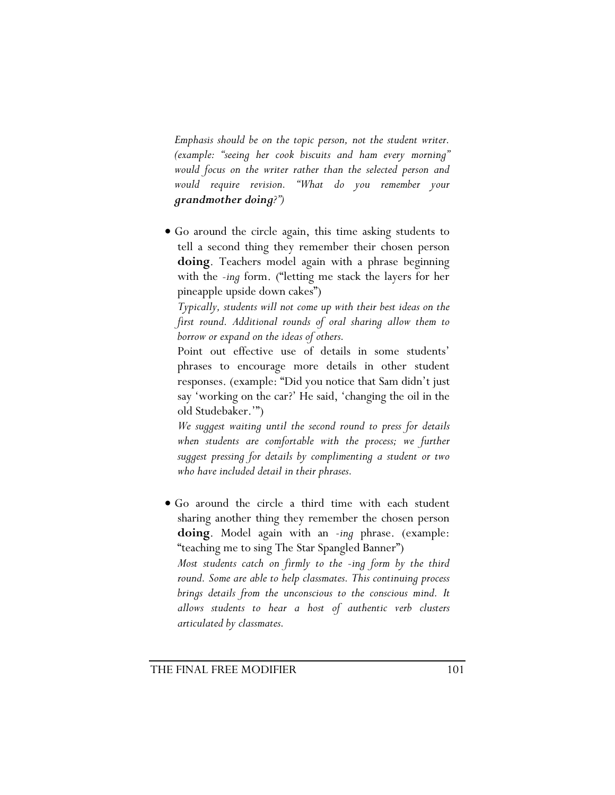*Emphasis should be on the topic person, not the student writer. (example: "seeing her cook biscuits and ham every morning" would focus on the writer rather than the selected person and would require revision. "What do you remember your grandmother doing?")* 

• Go around the circle again, this time asking students to tell a second thing they remember their chosen person **doing**. Teachers model again with a phrase beginning with the *-ing* form. ("letting me stack the layers for her pineapple upside down cakes")

 *Typically, students will not come up with their best ideas on the first round. Additional rounds of oral sharing allow them to borrow or expand on the ideas of others.* 

 Point out effective use of details in some students' phrases to encourage more details in other student responses. (example: "Did you notice that Sam didn't just say 'working on the car?' He said, 'changing the oil in the old Studebaker.'")

 *We suggest waiting until the second round to press for details*  when students are comfortable with the process; we further *suggest pressing for details by complimenting a student or two who have included detail in their phrases.* 

• Go around the circle a third time with each student sharing another thing they remember the chosen person **doing**. Model again with an -*ing* phrase. (example: "teaching me to sing The Star Spangled Banner") *Most students catch on firmly to the -ing form by the third round. Some are able to help classmates. This continuing process brings details from the unconscious to the conscious mind. It* 

*allows students to hear a host of authentic verb clusters* 

*articulated by classmates.*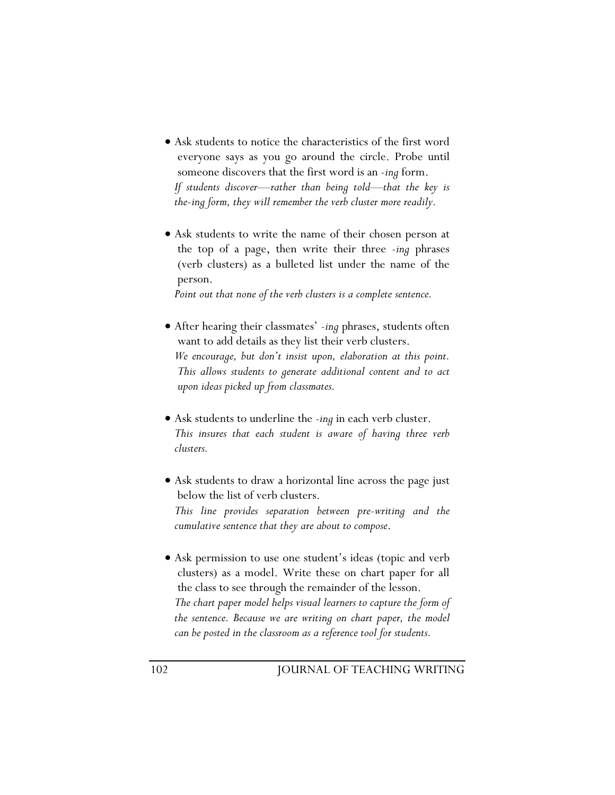- Ask students to notice the characteristics of the first word everyone says as you go around the circle. Probe until someone discovers that the first word is an *-ing* form. *If students discover—rather than being told—that the key is the-ing form, they will remember the verb cluster more readily.*
- Ask students to write the name of their chosen person at the top of a page, then write their three *-ing* phrases (verb clusters) as a bulleted list under the name of the person.

 *Point out that none of the verb clusters is a complete sentence.* 

- After hearing their classmates' *-ing* phrases, students often want to add details as they list their verb clusters.  *We encourage, but don't insist upon, elaboration at this point. This allows students to generate additional content and to act upon ideas picked up from classmates.*
- Ask students to underline the *-ing* in each verb cluster. *This insures that each student is aware of having three verb clusters.*
- Ask students to draw a horizontal line across the page just below the list of verb clusters. *This line provides separation between pre-writing and the cumulative sentence that they are about to compose*.
- Ask permission to use one student's ideas (topic and verb clusters) as a model. Write these on chart paper for all the class to see through the remainder of the lesson. *The chart paper model helps visual learners to capture the form of the sentence. Because we are writing on chart paper, the model can be posted in the classroom as a reference tool for students.*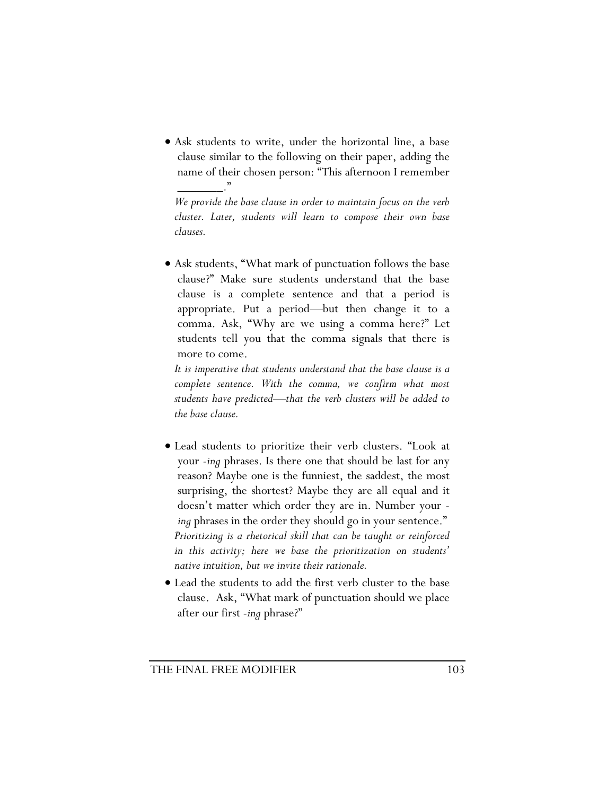• Ask students to write, under the horizontal line, a base clause similar to the following on their paper, adding the name of their chosen person: "This afternoon I remember \_\_\_\_\_\_\_."

*We provide the base clause in order to maintain focus on the verb cluster. Later, students will learn to compose their own base clauses.* 

• Ask students, "What mark of punctuation follows the base clause?" Make sure students understand that the base clause is a complete sentence and that a period is appropriate. Put a period—but then change it to a comma. Ask, "Why are we using a comma here?" Let students tell you that the comma signals that there is more to come.

*It is imperative that students understand that the base clause is a complete sentence. With the comma, we confirm what most students have predicted—that the verb clusters will be added to the base clause.* 

- Lead students to prioritize their verb clusters. "Look at your *-ing* phrases. Is there one that should be last for any reason? Maybe one is the funniest, the saddest, the most surprising, the shortest? Maybe they are all equal and it doesn't matter which order they are in. Number your  *ing* phrases in the order they should go in your sentence." *Prioritizing is a rhetorical skill that can be taught or reinforced in this activity; here we base the prioritization on students' native intuition, but we invite their rationale.*
- Lead the students to add the first verb cluster to the base clause. Ask, "What mark of punctuation should we place after our first *-ing* phrase?"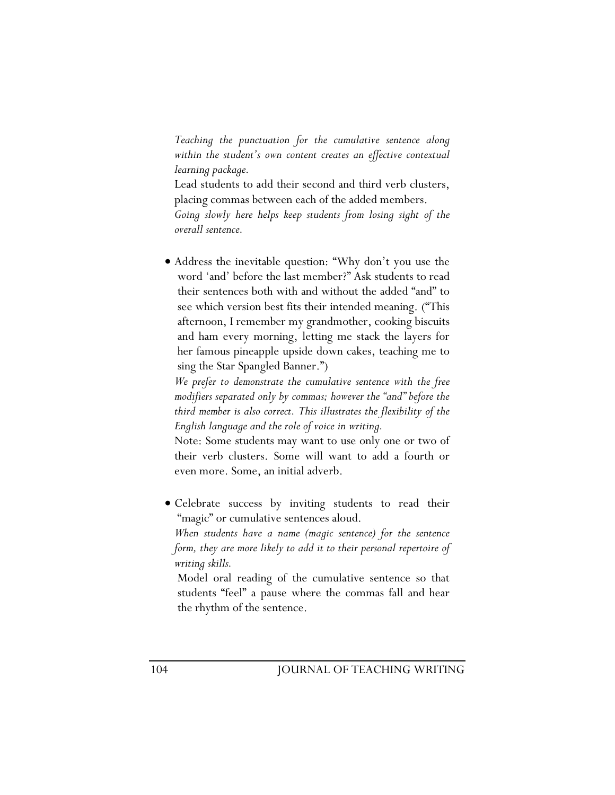*Teaching the punctuation for the cumulative sentence along within the student's own content creates an effective contextual learning package.* 

Lead students to add their second and third verb clusters, placing commas between each of the added members. *Going slowly here helps keep students from losing sight of the overall sentence.* 

• Address the inevitable question: "Why don't you use the word 'and' before the last member?" Ask students to read their sentences both with and without the added "and" to see which version best fits their intended meaning. ("This afternoon, I remember my grandmother, cooking biscuits and ham every morning, letting me stack the layers for her famous pineapple upside down cakes, teaching me to sing the Star Spangled Banner.")

*We prefer to demonstrate the cumulative sentence with the free modifiers separated only by commas; however the "and" before the third member is also correct. This illustrates the flexibility of the English language and the role of voice in writing.* 

Note: Some students may want to use only one or two of their verb clusters. Some will want to add a fourth or even more. Some, an initial adverb.

• Celebrate success by inviting students to read their "magic" or cumulative sentences aloud.

*When students have a name (magic sentence) for the sentence form, they are more likely to add it to their personal repertoire of writing skills.* 

Model oral reading of the cumulative sentence so that students "feel" a pause where the commas fall and hear the rhythm of the sentence.